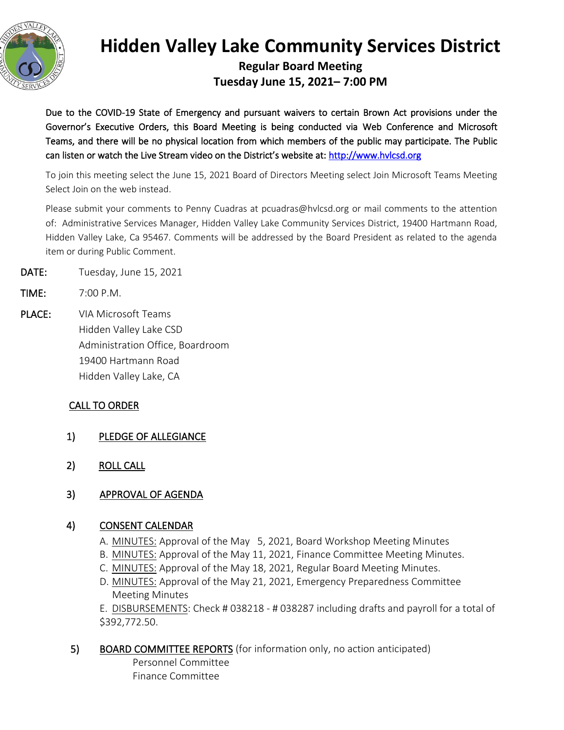

# **Hidden Valley Lake Community Services District**

**Regular Board Meeting Tuesday June 15, 2021– 7:00 PM**

Due to the COVID-19 State of Emergency and pursuant waivers to certain Brown Act provisions under the Governor's Executive Orders, this Board Meeting is being conducted via Web Conference and Microsoft Teams, and there will be no physical location from which members of the public may participate. The Public can listen or watch the Live Stream video on the District's website at: [http://www.hvlcsd.org](http://www.hvlcsd.org/) 

To join this meeting select the June 15, 2021 Board of Directors Meeting select Join Microsoft Teams Meeting Select Join on the web instead.

Please submit your comments to Penny Cuadras at pcuadras@hvlcsd.org or mail comments to the attention of: Administrative Services Manager, Hidden Valley Lake Community Services District, 19400 Hartmann Road, Hidden Valley Lake, Ca 95467. Comments will be addressed by the Board President as related to the agenda item or during Public Comment.

- DATE: Tuesday, June 15, 2021
- TIME: 7:00 P.M.
- PLACE: VIA Microsoft Teams Hidden Valley Lake CSD Administration Office, Boardroom 19400 Hartmann Road Hidden Valley Lake, CA

## CALL TO ORDER

- 1) PLEDGE OF ALLEGIANCE
- 2) ROLL CALL
- 3) APPROVAL OF AGENDA

### 4) CONSENT CALENDAR

- A. MINUTES: Approval of the May 5, 2021, Board Workshop Meeting Minutes
- B. MINUTES: Approval of the May 11, 2021, Finance Committee Meeting Minutes.
- C. MINUTES: Approval of the May 18, 2021, Regular Board Meeting Minutes.
- D. MINUTES: Approval of the May 21, 2021, Emergency Preparedness Committee Meeting Minutes

E. DISBURSEMENTS: Check # 038218 - # 038287 including drafts and payroll for a total of \$392,772.50.

5) BOARD COMMITTEE REPORTS (for information only, no action anticipated)

Personnel Committee Finance Committee